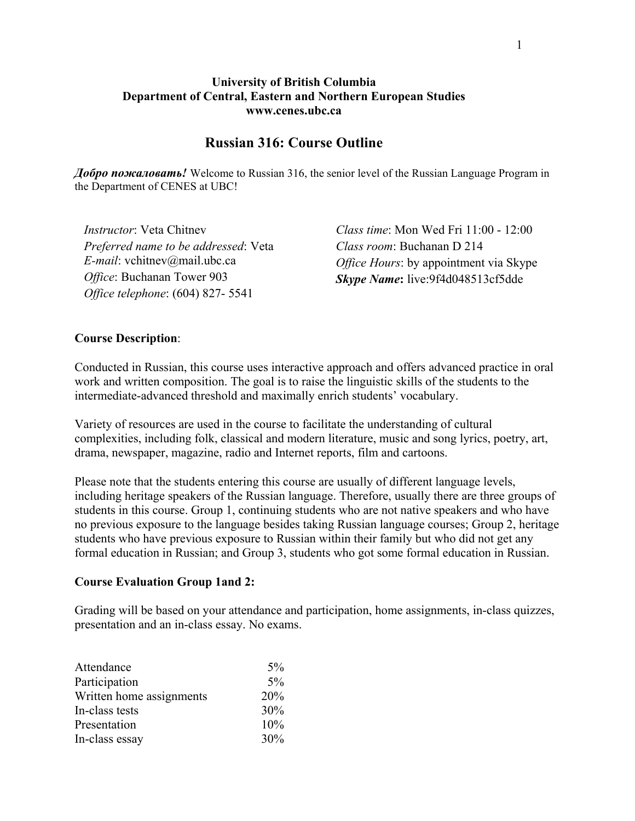## **University of British Columbia Department of Central, Eastern and Northern European Studies www.cenes.ubc.ca**

## **Russian 316: Course Outline**

*Добро пожаловать!* Welcome to Russian 316, the senior level of the Russian Language Program in the Department of CENES at UBC!

*Instructor*: Veta Chitnev *Preferred name to be addressed*: Veta *E-mail*: vchitnev@mail.ubc.ca *Office*: Buchanan Tower 903 *Office telephone*: (604) 827- 5541

*Class time*: Mon Wed Fri 11:00 - 12:00 *Class room*: Buchanan D 214 *Office Hours*: by appointment via Skype *Skype Name***:** live:9f4d048513cf5dde

## **Course Description**:

Conducted in Russian, this course uses interactive approach and offers advanced practice in oral work and written composition. The goal is to raise the linguistic skills of the students to the intermediate-advanced threshold and maximally enrich students' vocabulary.

Variety of resources are used in the course to facilitate the understanding of cultural complexities, including folk, classical and modern literature, music and song lyrics, poetry, art, drama, newspaper, magazine, radio and Internet reports, film and cartoons.

Please note that the students entering this course are usually of different language levels, including heritage speakers of the Russian language. Therefore, usually there are three groups of students in this course. Group 1, continuing students who are not native speakers and who have no previous exposure to the language besides taking Russian language courses; Group 2, heritage students who have previous exposure to Russian within their family but who did not get any formal education in Russian; and Group 3, students who got some formal education in Russian.

#### **Course Evaluation Group 1and 2:**

Grading will be based on your attendance and participation, home assignments, in-class quizzes, presentation and an in-class essay. No exams.

| Attendance               | $5\%$ |
|--------------------------|-------|
| Participation            | 5%    |
| Written home assignments | 20%   |
| In-class tests           | 30%   |
| Presentation             | 10%   |
| In-class essay           | 30%   |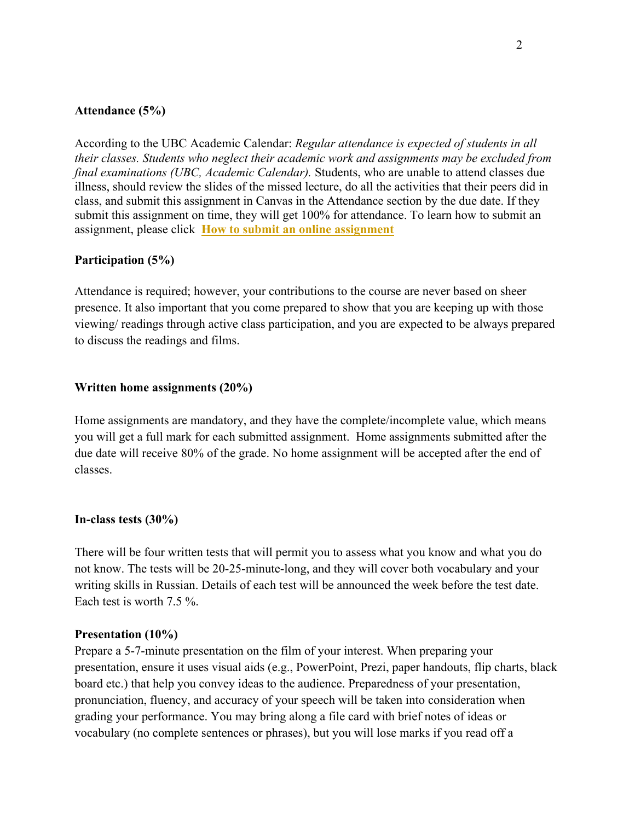## **Attendance (5%)**

According to the UBC Academic Calendar: *Regular attendance is expected of students in all their classes. Students who neglect their academic work and assignments may be excluded from final examinations (UBC, Academic Calendar).* Students, who are unable to attend classes due illness, should review the slides of the missed lecture, do all the activities that their peers did in class, and submit this assignment in Canvas in the Attendance section by the due date. If they submit this assignment on time, they will get 100% for attendance. To learn how to submit an assignment, please click **[How to submit an online assignment](https://community.canvaslms.com/t5/Student-Guide/How-do-I-submit-an-online-assignment/ta-p/503)**

## **Participation (5%)**

Attendance is required; however, your contributions to the course are never based on sheer presence. It also important that you come prepared to show that you are keeping up with those viewing/ readings through active class participation, and you are expected to be always prepared to discuss the readings and films.

## **Written home assignments (20%)**

Home assignments are mandatory, and they have the complete/incomplete value, which means you will get a full mark for each submitted assignment. Home assignments submitted after the due date will receive 80% of the grade. No home assignment will be accepted after the end of classes.

## **In-class tests (30%)**

There will be four written tests that will permit you to assess what you know and what you do not know. The tests will be 20-25-minute-long, and they will cover both vocabulary and your writing skills in Russian. Details of each test will be announced the week before the test date. Each test is worth 7.5 %.

#### **Presentation (10%)**

Prepare a 5-7-minute presentation on the film of your interest. When preparing your presentation, ensure it uses visual aids (e.g., PowerPoint, Prezi, paper handouts, flip charts, black board etc.) that help you convey ideas to the audience. Preparedness of your presentation, pronunciation, fluency, and accuracy of your speech will be taken into consideration when grading your performance. You may bring along a file card with brief notes of ideas or vocabulary (no complete sentences or phrases), but you will lose marks if you read off a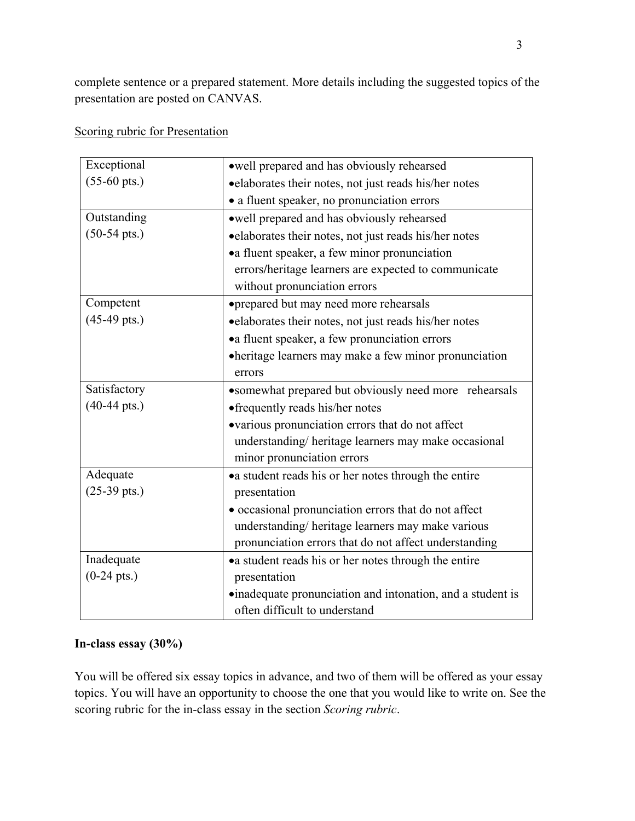complete sentence or a prepared statement. More details including the suggested topics of the presentation are posted on CANVAS.

Scoring rubric for Presentation

| Exceptional            | owell prepared and has obviously rehearsed                 |
|------------------------|------------------------------------------------------------|
| $(55-60 \text{ pts.})$ | •elaborates their notes, not just reads his/her notes      |
|                        | • a fluent speaker, no pronunciation errors                |
| Outstanding            | • well prepared and has obviously rehearsed                |
| $(50-54 \text{ pts.})$ | • elaborates their notes, not just reads his/her notes     |
|                        | • a fluent speaker, a few minor pronunciation              |
|                        | errors/heritage learners are expected to communicate       |
|                        | without pronunciation errors                               |
| Competent              | • prepared but may need more rehearsals                    |
| $(45-49 \text{ pts.})$ | • elaborates their notes, not just reads his/her notes     |
|                        | • a fluent speaker, a few pronunciation errors             |
|                        | • heritage learners may make a few minor pronunciation     |
|                        | errors                                                     |
| Satisfactory           | • somewhat prepared but obviously need more rehearsals     |
| $(40-44 \text{ pts.})$ | • frequently reads his/her notes                           |
|                        | •various pronunciation errors that do not affect           |
|                        | understanding/heritage learners may make occasional        |
|                        | minor pronunciation errors                                 |
| Adequate               | • a student reads his or her notes through the entire      |
| $(25-39 \text{ pts.})$ | presentation                                               |
|                        | • occasional pronunciation errors that do not affect       |
|                        | understanding/heritage learners may make various           |
|                        | pronunciation errors that do not affect understanding      |
| Inadequate             | • a student reads his or her notes through the entire      |
| $(0-24 \text{ pts.})$  | presentation                                               |
|                        | ·inadequate pronunciation and intonation, and a student is |
|                        | often difficult to understand                              |

# **In-class essay (30%)**

You will be offered six essay topics in advance, and two of them will be offered as your essay topics. You will have an opportunity to choose the one that you would like to write on. See the scoring rubric for the in-class essay in the section *Scoring rubric*.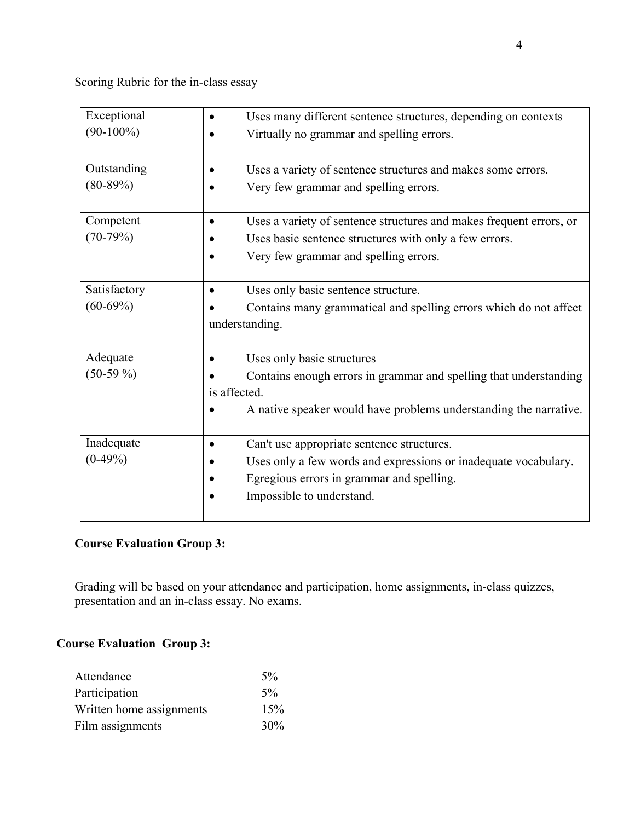Scoring Rubric for the in-class essay

| Exceptional  | Uses many different sentence structures, depending on contexts                   |
|--------------|----------------------------------------------------------------------------------|
| $(90-100\%)$ | Virtually no grammar and spelling errors.                                        |
| Outstanding  | Uses a variety of sentence structures and makes some errors.<br>$\bullet$        |
| $(80-89%)$   | Very few grammar and spelling errors.                                            |
| Competent    | Uses a variety of sentence structures and makes frequent errors, or<br>$\bullet$ |
| $(70-79%)$   | Uses basic sentence structures with only a few errors.                           |
|              | Very few grammar and spelling errors.<br>$\bullet$                               |
| Satisfactory | Uses only basic sentence structure.                                              |
| $(60-69%)$   | Contains many grammatical and spelling errors which do not affect                |
|              | understanding.                                                                   |
| Adequate     | Uses only basic structures                                                       |
| $(50-59\%)$  | Contains enough errors in grammar and spelling that understanding                |
|              | is affected.                                                                     |
|              | A native speaker would have problems understanding the narrative.                |
| Inadequate   | Can't use appropriate sentence structures.<br>$\bullet$                          |
| $(0-49%)$    | Uses only a few words and expressions or inadequate vocabulary.                  |
|              | Egregious errors in grammar and spelling.                                        |
|              | Impossible to understand.                                                        |
|              |                                                                                  |

# **Course Evaluation Group 3:**

Grading will be based on your attendance and participation, home assignments, in-class quizzes, presentation and an in-class essay. No exams.

## **Course Evaluation Group 3:**

| Attendance               | $5\%$ |
|--------------------------|-------|
| Participation            | $5\%$ |
| Written home assignments | 15%   |
| Film assignments         | 30%   |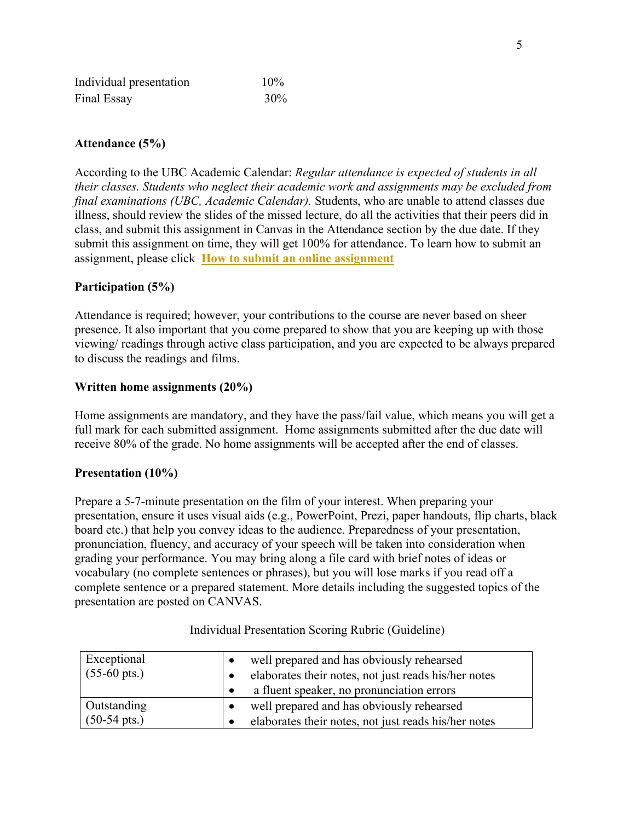| Individual presentation | $10\%$ |  |
|-------------------------|--------|--|
| Final Essay             | 30%    |  |

## **Attendance (5%)**

According to the UBC Academic Calendar: *Regular attendance is expected of students in all their classes. Students who neglect their academic work and assignments may be excluded from final examinations (UBC, Academic Calendar).* Students, who are unable to attend classes due illness, should review the slides of the missed lecture, do all the activities that their peers did in class, and submit this assignment in Canvas in the Attendance section by the due date. If they submit this assignment on time, they will get 100% for attendance. To learn how to submit an assignment, please click **[How to submit an online assignment](https://community.canvaslms.com/t5/Student-Guide/How-do-I-submit-an-online-assignment/ta-p/503)**

## **Participation (5%)**

Attendance is required; however, your contributions to the course are never based on sheer presence. It also important that you come prepared to show that you are keeping up with those viewing/ readings through active class participation, and you are expected to be always prepared to discuss the readings and films.

## **Written home assignments (20%)**

Home assignments are mandatory, and they have the pass/fail value, which means you will get a full mark for each submitted assignment. Home assignments submitted after the due date will receive 80% of the grade. No home assignments will be accepted after the end of classes.

## **Presentation (10%)**

Prepare a 5-7-minute presentation on the film of your interest. When preparing your presentation, ensure it uses visual aids (e.g., PowerPoint, Prezi, paper handouts, flip charts, black board etc.) that help you convey ideas to the audience. Preparedness of your presentation, pronunciation, fluency, and accuracy of your speech will be taken into consideration when grading your performance. You may bring along a file card with brief notes of ideas or vocabulary (no complete sentences or phrases), but you will lose marks if you read off a complete sentence or a prepared statement. More details including the suggested topics of the presentation are posted on CANVAS.

| Exceptional<br>$(55-60 \text{ pts.})$ | well prepared and has obviously rehearsed<br>elaborates their notes, not just reads his/her notes |
|---------------------------------------|---------------------------------------------------------------------------------------------------|
|                                       | a fluent speaker, no pronunciation errors                                                         |
| Outstanding                           | well prepared and has obviously rehearsed                                                         |
| $(50-54 \text{ pts.})$                | elaborates their notes, not just reads his/her notes                                              |

## Individual Presentation Scoring Rubric (Guideline)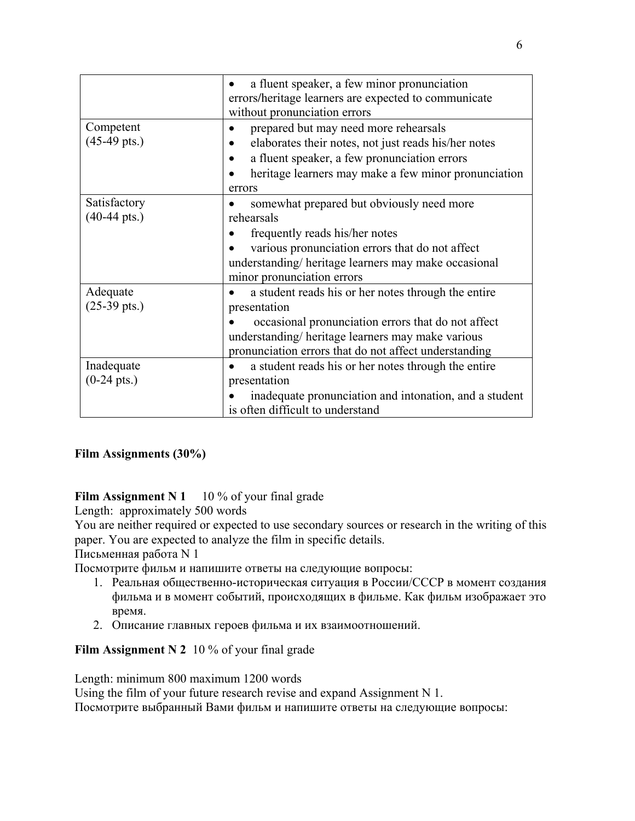|                                        | a fluent speaker, a few minor pronunciation<br>errors/heritage learners are expected to communicate<br>without pronunciation errors                                                                                                    |
|----------------------------------------|----------------------------------------------------------------------------------------------------------------------------------------------------------------------------------------------------------------------------------------|
| Competent<br>$(45-49 \text{ pts.})$    | prepared but may need more rehearsals<br>elaborates their notes, not just reads his/her notes<br>a fluent speaker, a few pronunciation errors<br>heritage learners may make a few minor pronunciation<br>errors                        |
| Satisfactory<br>$(40-44 \text{ pts.})$ | somewhat prepared but obviously need more<br>rehearsals<br>frequently reads his/her notes<br>various pronunciation errors that do not affect<br>understanding/heritage learners may make occasional<br>minor pronunciation errors      |
| Adequate<br>$(25-39 \text{ pts.})$     | a student reads his or her notes through the entire<br>presentation<br>occasional pronunciation errors that do not affect<br>understanding/heritage learners may make various<br>pronunciation errors that do not affect understanding |
| Inadequate<br>$(0-24 \text{ pts.})$    | a student reads his or her notes through the entire<br>presentation<br>inadequate pronunciation and intonation, and a student<br>is often difficult to understand                                                                      |

# **Film Assignments (30%)**

**Film Assignment N 1** 10 % of your final grade

Length: approximately 500 words

You are neither required or expected to use secondary sources or research in the writing of this paper. You are expected to analyze the film in specific details.

Письменная работа N 1

Посмотрите фильм и напишите ответы на следующие вопросы:

- 1. Реальная общественно-историческая ситуация в России/CCСР в момент создания фильма и в момент событий, происходящих в фильме. Как фильм изображает это время.
- 2. Описание главных героев фильма и их взаимоотношений.

**Film Assignment N 2** 10 % of your final grade

Length: minimum 800 maximum 1200 words

Using the film of your future research revise and expand Assignment N 1.

Посмотрите выбранный Вами фильм и напишите ответы на следующие вопросы: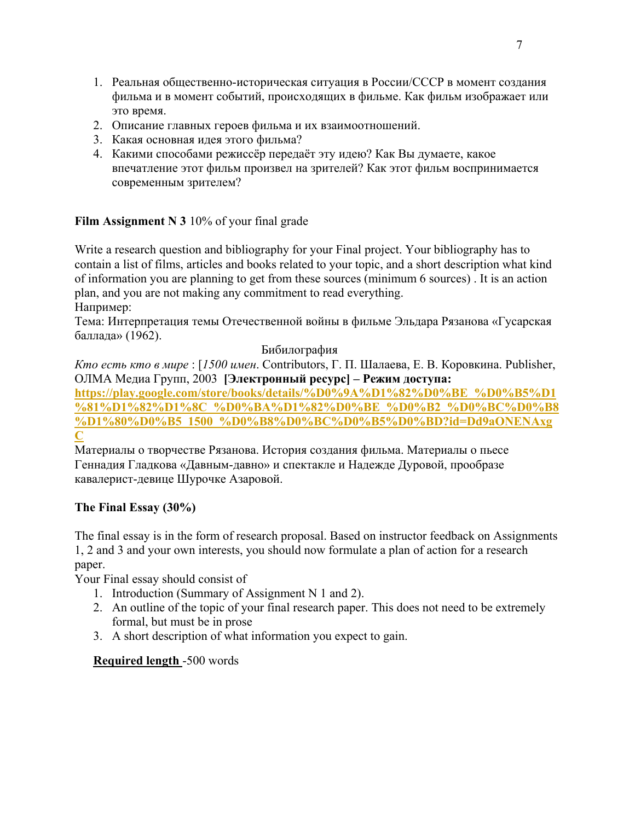- 1. Реальная общественно-историческая ситуация в России/CCСР в момент создания фильма и в момент событий, происходящих в фильме. Как фильм изображает или это время.
- 2. Описание главных героев фильма и их взаимоотношений.
- 3. Какая основная идея этого фильма?
- 4. Какими способами режиссёр передаёт эту идею? Как Вы думаете, какое впечатление этот фильм произвел на зрителей? Как этот фильм воспринимается современным зрителем?

# **Film Assignment N 3** 10% of your final grade

Write a research question and bibliography for your Final project. Your bibliography has to contain a list of films, articles and books related to your topic, and a short description what kind of information you are planning to get from these sources (minimum 6 sources) . It is an action plan, and you are not making any commitment to read everything. Например:

Тема: Интерпретация темы Отечественной войны в фильме Эльдара Рязанова «Гусарская баллада» (1962).

## Бибилография

*Кто есть кто в мире* : [*1500 имен*. Contributors, Г. П. Шалаева, Е. В. Коровкина. Publisher, ОЛМА Медиа Групп, 2003 **[Электронный ресурс] – Режим доступа:** 

**[https://play.google.com/store/books/details/%D0%9A%D1%82%D0%BE\\_%D0%B5%D1](https://play.google.com/store/books/details/%D0%9A%D1%82%D0%BE_%D0%B5%D1%81%D1%82%D1%8C_%D0%BA%D1%82%D0%BE_%D0%B2_%D0%BC%D0%B8%D1%80%D0%B5_1500_%D0%B8%D0%BC%D0%B5%D0%BD?id=Dd9aONENAxgC) [%81%D1%82%D1%8C\\_%D0%BA%D1%82%D0%BE\\_%D0%B2\\_%D0%BC%D0%B8](https://play.google.com/store/books/details/%D0%9A%D1%82%D0%BE_%D0%B5%D1%81%D1%82%D1%8C_%D0%BA%D1%82%D0%BE_%D0%B2_%D0%BC%D0%B8%D1%80%D0%B5_1500_%D0%B8%D0%BC%D0%B5%D0%BD?id=Dd9aONENAxgC) [%D1%80%D0%B5\\_1500\\_%D0%B8%D0%BC%D0%B5%D0%BD?id=Dd9aONENAxg](https://play.google.com/store/books/details/%D0%9A%D1%82%D0%BE_%D0%B5%D1%81%D1%82%D1%8C_%D0%BA%D1%82%D0%BE_%D0%B2_%D0%BC%D0%B8%D1%80%D0%B5_1500_%D0%B8%D0%BC%D0%B5%D0%BD?id=Dd9aONENAxgC) [C](https://play.google.com/store/books/details/%D0%9A%D1%82%D0%BE_%D0%B5%D1%81%D1%82%D1%8C_%D0%BA%D1%82%D0%BE_%D0%B2_%D0%BC%D0%B8%D1%80%D0%B5_1500_%D0%B8%D0%BC%D0%B5%D0%BD?id=Dd9aONENAxgC)**

# Материалы о творчестве Рязанова. История создания фильма. Материалы о пьесе Геннадия Гладкова «Давным-давно» и спектакле и Надежде Дуровой, прообразе кавалерист-девице Шурочке Азаровой.

## **The Final Essay (30%)**

The final essay is in the form of research proposal. Based on instructor feedback on Assignments 1, 2 and 3 and your own interests, you should now formulate a plan of action for a research paper.

Your Final essay should consist of

- 1. Introduction (Summary of Assignment N 1 and 2).
- 2. An outline of the topic of your final research paper. This does not need to be extremely formal, but must be in prose
- 3. A short description of what information you expect to gain.

## **Required length** -500 words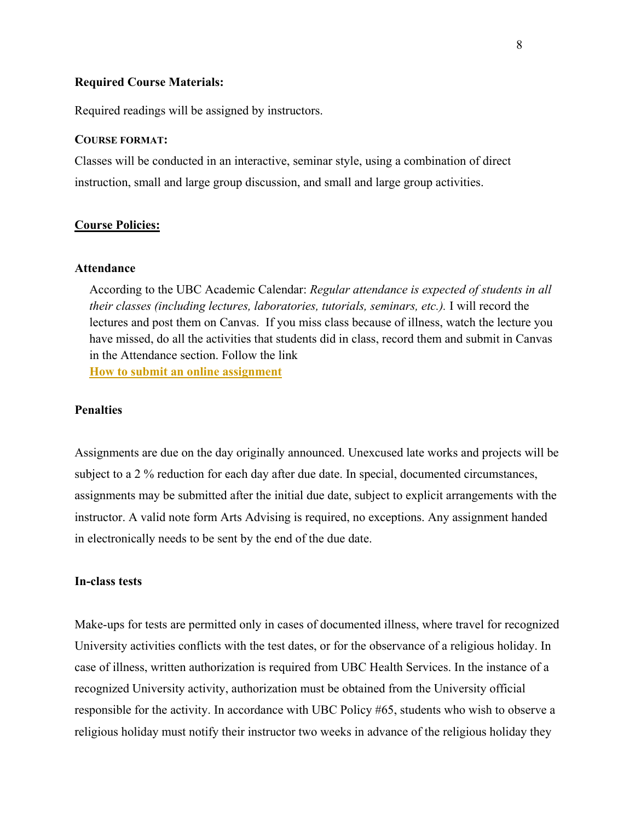#### **Required Course Materials:**

Required readings will be assigned by instructors.

### **COURSE FORMAT:**

Classes will be conducted in an interactive, seminar style, using a combination of direct instruction, small and large group discussion, and small and large group activities.

### **Course Policies:**

### **Attendance**

According to the UBC Academic Calendar: *Regular attendance is expected of students in all their classes (including lectures, laboratories, tutorials, seminars, etc.).* I will record the lectures and post them on Canvas. If you miss class because of illness, watch the lecture you have missed, do all the activities that students did in class, record them and submit in Canvas in the Attendance section. Follow the link

**[How to submit an online assignment](https://community.canvaslms.com/t5/Student-Guide/How-do-I-submit-an-online-assignment/ta-p/503)**

### **Penalties**

Assignments are due on the day originally announced. Unexcused late works and projects will be subject to a 2 % reduction for each day after due date. In special, documented circumstances, assignments may be submitted after the initial due date, subject to explicit arrangements with the instructor. A valid note form Arts Advising is required, no exceptions. Any assignment handed in electronically needs to be sent by the end of the due date.

## **In-class tests**

Make-ups for tests are permitted only in cases of documented illness, where travel for recognized University activities conflicts with the test dates, or for the observance of a religious holiday. In case of illness, written authorization is required from UBC Health Services. In the instance of a recognized University activity, authorization must be obtained from the University official responsible for the activity. In accordance with UBC Policy #65, students who wish to observe a religious holiday must notify their instructor two weeks in advance of the religious holiday they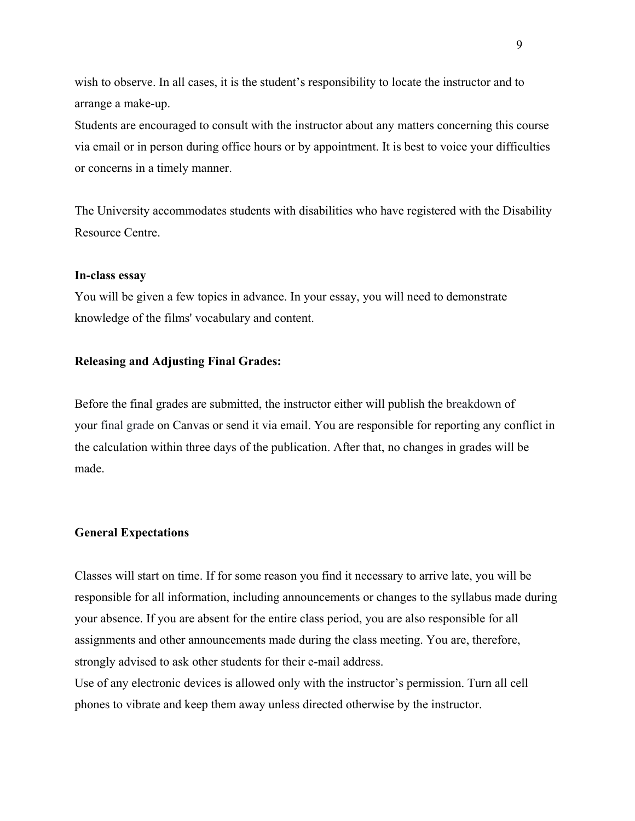wish to observe. In all cases, it is the student's responsibility to locate the instructor and to arrange a make-up.

Students are encouraged to consult with the instructor about any matters concerning this course via email or in person during office hours or by appointment. It is best to voice your difficulties or concerns in a timely manner.

The University accommodates students with disabilities who have registered with the Disability Resource Centre.

#### **In-class essay**

You will be given a few topics in advance. In your essay, you will need to demonstrate knowledge of the films' vocabulary and content.

## **Releasing and Adjusting Final Grades:**

Before the final grades are submitted, the instructor either will publish the breakdown of your final grade on Canvas or send it via email. You are responsible for reporting any conflict in the calculation within three days of the publication. After that, no changes in grades will be made.

#### **General Expectations**

Classes will start on time. If for some reason you find it necessary to arrive late, you will be responsible for all information, including announcements or changes to the syllabus made during your absence. If you are absent for the entire class period, you are also responsible for all assignments and other announcements made during the class meeting. You are, therefore, strongly advised to ask other students for their e-mail address.

Use of any electronic devices is allowed only with the instructor's permission. Turn all cell phones to vibrate and keep them away unless directed otherwise by the instructor.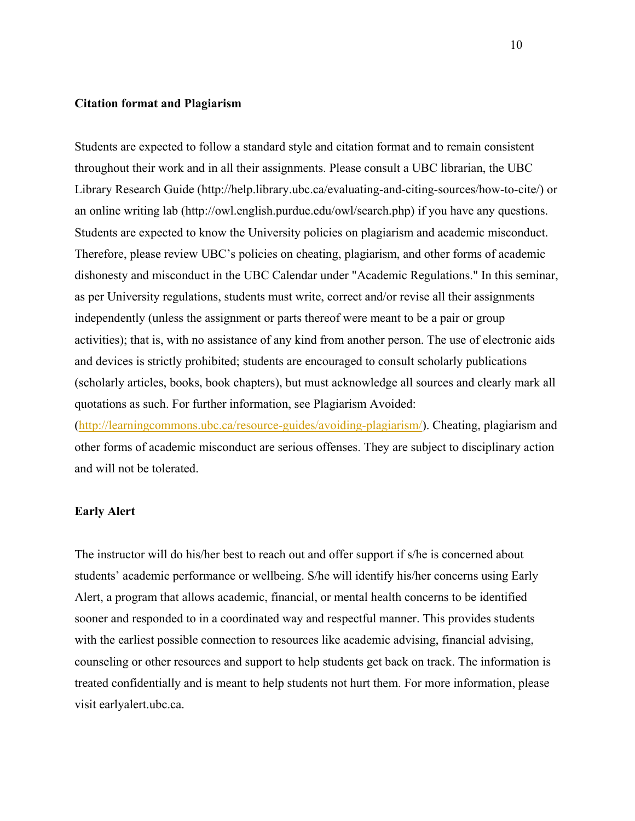### **Citation format and Plagiarism**

Students are expected to follow a standard style and citation format and to remain consistent throughout their work and in all their assignments. Please consult a UBC librarian, the UBC Library Research Guide (http://help.library.ubc.ca/evaluating-and-citing-sources/how-to-cite/) or an online writing lab (http://owl.english.purdue.edu/owl/search.php) if you have any questions. Students are expected to know the University policies on plagiarism and academic misconduct. Therefore, please review UBC's policies on cheating, plagiarism, and other forms of academic dishonesty and misconduct in the UBC Calendar under "Academic Regulations." In this seminar, as per University regulations, students must write, correct and/or revise all their assignments independently (unless the assignment or parts thereof were meant to be a pair or group activities); that is, with no assistance of any kind from another person. The use of electronic aids and devices is strictly prohibited; students are encouraged to consult scholarly publications (scholarly articles, books, book chapters), but must acknowledge all sources and clearly mark all quotations as such. For further information, see Plagiarism Avoided:

[\(http://learningcommons.ubc.ca/resource-guides/avoiding-plagiarism/\)](http://learningcommons.ubc.ca/resource-guides/avoiding-plagiarism/). Cheating, plagiarism and other forms of academic misconduct are serious offenses. They are subject to disciplinary action and will not be tolerated.

#### **Early Alert**

The instructor will do his/her best to reach out and offer support if s/he is concerned about students' academic performance or wellbeing. S/he will identify his/her concerns using Early Alert, a program that allows academic, financial, or mental health concerns to be identified sooner and responded to in a coordinated way and respectful manner. This provides students with the earliest possible connection to resources like academic advising, financial advising, counseling or other resources and support to help students get back on track. The information is treated confidentially and is meant to help students not hurt them. For more information, please visit earlyalert.ubc.ca.